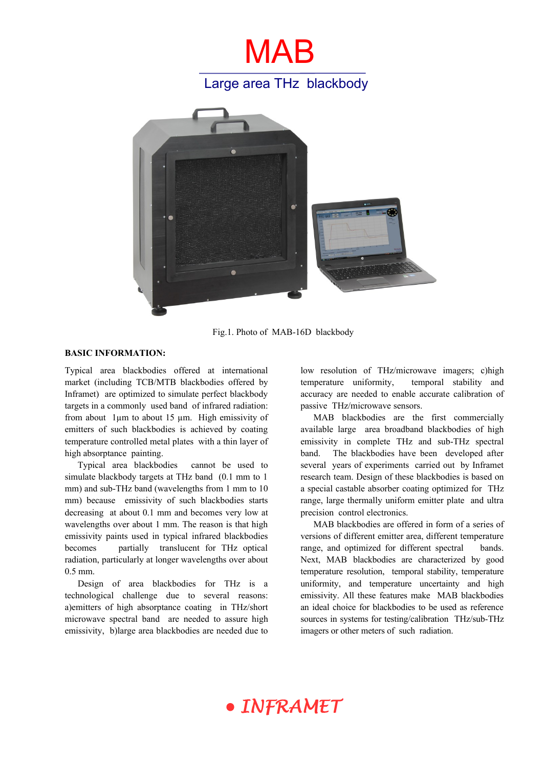

Fig.1. Photo of MAB-16D blackbody

#### **BASIC INFORMATION:**

Typical area blackbodies offered at international market (including TCB/MTB blackbodies offered by Inframet) are optimized to simulate perfect blackbody targets in a commonly used band of infrared radiation: from about 1µm to about 15 µm. High emissivity of emitters of such blackbodies is achieved by coating temperature controlled metal plates with a thin layer of high absorptance painting.

Typical area blackbodies cannot be used to simulate blackbody targets at THz band (0.1 mm to 1 mm) and sub-THz band (wavelengths from 1 mm to 10 mm) because emissivity of such blackbodies starts decreasing at about 0.1 mm and becomes very low at wavelengths over about 1 mm. The reason is that high emissivity paints used in typical infrared blackbodies becomes partially translucent for THz optical radiation, particularly at longer wavelengths over about 0.5 mm.

Design of area blackbodies for THz is a technological challenge due to several reasons: a)emitters of high absorptance coating in THz/short microwave spectral band are needed to assure high emissivity, b)large area blackbodies are needed due to

low resolution of THz/microwave imagers; c)high temperature uniformity, temporal stability and accuracy are needed to enable accurate calibration of passive THz/microwave sensors.

MAB blackbodies are the first commercially available large area broadband blackbodies of high emissivity in complete THz and sub-THz spectral band. The blackbodies have been developed after several years of experiments carried out by Inframet research team. Design of these blackbodies is based on a special castable absorber coating optimized for THz range, large thermally uniform emitter plate and ultra precision control electronics.

MAB blackbodies are offered in form of a series of versions of different emitter area, different temperature range, and optimized for different spectral bands. Next, MAB blackbodies are characterized by good temperature resolution, temporal stability, temperature uniformity, and temperature uncertainty and high emissivity. All these features make MAB blackbodies an ideal choice for blackbodies to be used as reference sources in systems for testing/calibration THz/sub-THz imagers or other meters of such radiation.

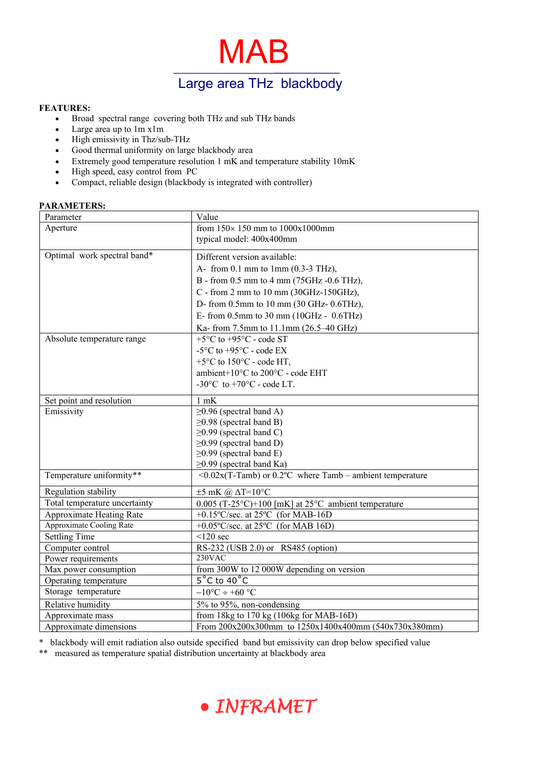MAB Large area THz blackbody

## **FEATURES:**

- Broad spectral range covering both THz and sub THz bands
- Large area up to 1m x1m
- High emissivity in Thz/sub-THz
- Good thermal uniformity on large blackbody area
- Extremely good temperature resolution  $1 \text{ mK}$  and temperature stability  $10 \text{ mK}$
- High speed, easy control from PC
- Compact, reliable design (blackbody is integrated with controller)

### **PARAMETERS:**

| Parameter                     | Value                                                             |
|-------------------------------|-------------------------------------------------------------------|
| Aperture                      | from $150 \times 150$ mm to $1000x1000$ mm                        |
|                               | typical model: 400x400mm                                          |
| Optimal work spectral band*   | Different version available:                                      |
|                               | A- from 0.1 mm to 1mm $(0.3-3)$ THz),                             |
|                               | B - from 0.5 mm to 4 mm (75GHz -0.6 THz),                         |
|                               |                                                                   |
|                               | C - from 2 mm to 10 mm (30GHz-150GHz),                            |
|                               | D- from $0.5$ mm to $10$ mm $(30 \text{ GHz} - 0.6 \text{THz})$ , |
|                               | E- from $0.5$ mm to $30$ mm $(10GHz - 0.6THz)$                    |
|                               | Ka- from 7.5mm to 11.1mm (26.5–40 GHz)                            |
| Absolute temperature range    | $+5$ °C to $+95$ °C - code ST                                     |
|                               | -5 $\rm{^{\circ}C}$ to +95 $\rm{^{\circ}C}$ - code EX             |
|                               | $+5$ °C to 150°C - code HT,                                       |
|                               | ambient+10°C to 200°C - code EHT                                  |
|                               | -30 $\mathrm{^{\circ}C}$ to +70 $\mathrm{^{\circ}C}$ - code LT.   |
| Set point and resolution      | $1$ mK                                                            |
| Emissivity                    | $\geq$ 0.96 (spectral band A)                                     |
|                               | $\geq$ 0.98 (spectral band B)                                     |
|                               | $\geq$ 0.99 (spectral band C)                                     |
|                               | $\geq$ 0.99 (spectral band D)                                     |
|                               | $\geq$ 0.99 (spectral band E)                                     |
|                               | $\geq$ 0.99 (spectral band Ka)                                    |
| Temperature uniformity**      | $\leq 0.02x(T$ -Tamb) or 0.2°C where Tamb – ambient temperature   |
| Regulation stability          | $\pm 5$ mK @ $\Delta T = 10$ °C                                   |
| Total temperature uncertainty | $0.005$ (T-25°C)+100 [mK] at 25°C ambient temperature             |
| Approximate Heating Rate      | $+0.15\text{°C/sec}$ . at 25°C (for MAB-16D)                      |
| Approximate Cooling Rate      | $+0.05\text{°C/sec}$ . at 25°C (for MAB 16D)                      |
| <b>Settling Time</b>          | $\leq$ 120 sec                                                    |
| Computer control              | RS-232 (USB 2.0) or RS485 (option)                                |
| Power requirements            | 230VAC                                                            |
| Max power consumption         | from 300W to 12 000W depending on version                         |
| Operating temperature         | $5^{\circ}$ C to 40 $^{\circ}$ C                                  |
| Storage temperature           | $-10$ °C ÷ +60 °C                                                 |
| Relative humidity             | 5% to 95%, non-condensing                                         |
| Approximate mass              | from 18kg to 170 kg (106kg for MAB-16D)                           |
| Approximate dimensions        | From 200x200x300mm to 1250x1400x400mm (540x730x380mm)             |

\* blackbody will emit radiation also outside specified band but emissivity can drop below specified value

\*\* measured as temperature spatial distribution uncertainty at blackbody area